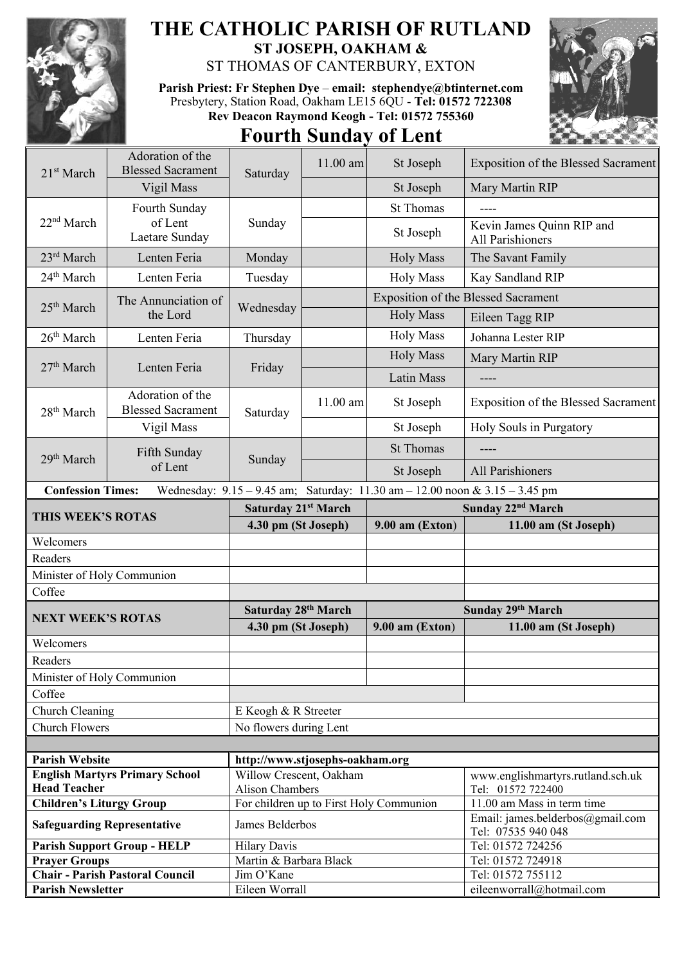

## **THE CATHOLIC PARISH OF RUTLAND ST JOSEPH, OAKHAM &**

ST THOMAS OF CANTERBURY, EXTON

**Parish Priest: Fr Stephen Dye** – **[email: stephendye@btinternet.com](mailto:email:%20%20stephendye@btinternet.com)** Presbytery, Station Road, Oakham LE15 6QU - **Tel: 01572 722308 Rev Deacon Raymond Keogh - Tel: 01572 755360**

## **Fourth Sunday of Lent**



| 21 <sup>st</sup> March             | Adoration of the<br><b>Blessed Sacrament</b> | Saturday                                          | 11.00 am   | St Joseph                                                                   | Exposition of the Blessed Sacrament             |
|------------------------------------|----------------------------------------------|---------------------------------------------------|------------|-----------------------------------------------------------------------------|-------------------------------------------------|
|                                    | Vigil Mass                                   |                                                   |            | St Joseph                                                                   | Mary Martin RIP                                 |
| 22 <sup>nd</sup> March             | Fourth Sunday                                | Sunday                                            |            | <b>St Thomas</b>                                                            |                                                 |
|                                    | of Lent<br>Laetare Sunday                    |                                                   |            | St Joseph                                                                   | Kevin James Quinn RIP and<br>All Parishioners   |
| 23 <sup>rd</sup> March             | Lenten Feria                                 | Monday                                            |            | <b>Holy Mass</b>                                                            | The Savant Family                               |
| 24 <sup>th</sup> March             | Lenten Feria                                 | Tuesday                                           |            | <b>Holy Mass</b>                                                            | Kay Sandland RIP                                |
| 25 <sup>th</sup> March             | The Annunciation of<br>the Lord              | Wednesday                                         |            |                                                                             | <b>Exposition of the Blessed Sacrament</b>      |
|                                    |                                              |                                                   |            | <b>Holy Mass</b>                                                            | Eileen Tagg RIP                                 |
| 26 <sup>th</sup> March             | Lenten Feria                                 | Thursday                                          |            | <b>Holy Mass</b>                                                            | Johanna Lester RIP                              |
| 27 <sup>th</sup> March             | Lenten Feria<br>Adoration of the             | Friday                                            |            | <b>Holy Mass</b>                                                            | Mary Martin RIP                                 |
|                                    |                                              |                                                   |            | Latin Mass                                                                  |                                                 |
|                                    |                                              |                                                   |            |                                                                             | ----                                            |
| 28 <sup>th</sup> March             | <b>Blessed Sacrament</b>                     | Saturday                                          | $11.00$ am | St Joseph                                                                   | <b>Exposition of the Blessed Sacrament</b>      |
|                                    | Vigil Mass                                   |                                                   |            | St Joseph                                                                   | Holy Souls in Purgatory                         |
| 29 <sup>th</sup> March             | Fifth Sunday<br>of Lent                      | Sunday                                            |            | <b>St Thomas</b>                                                            | ----                                            |
|                                    |                                              |                                                   |            | St Joseph                                                                   | All Parishioners                                |
| <b>Confession Times:</b>           |                                              |                                                   |            | Wednesday: 9.15 - 9.45 am; Saturday: 11.30 am - 12.00 noon & 3.15 - 3.45 pm |                                                 |
| THIS WEEK'S ROTAS                  |                                              | Saturday 21st March                               |            |                                                                             | Sunday 22 <sup>nd</sup> March                   |
|                                    |                                              |                                                   |            |                                                                             |                                                 |
|                                    |                                              | 4.30 pm (St Joseph)                               |            | 9.00 am (Exton)                                                             | 11.00 am (St Joseph)                            |
| Welcomers                          |                                              |                                                   |            |                                                                             |                                                 |
| Readers                            |                                              |                                                   |            |                                                                             |                                                 |
| Minister of Holy Communion         |                                              |                                                   |            |                                                                             |                                                 |
| Coffee                             |                                              |                                                   |            |                                                                             |                                                 |
|                                    |                                              | Saturday 28th March                               |            |                                                                             | Sunday 29th March                               |
| <b>NEXT WEEK'S ROTAS</b>           |                                              | 4.30 pm (St Joseph)                               |            | $9.00$ am (Exton)                                                           | 11.00 am (St Joseph)                            |
| Welcomers                          |                                              |                                                   |            |                                                                             |                                                 |
| Readers                            |                                              |                                                   |            |                                                                             |                                                 |
| Minister of Holy Communion         |                                              |                                                   |            |                                                                             |                                                 |
| Coffee                             |                                              |                                                   |            |                                                                             |                                                 |
| Church Cleaning                    |                                              | E Keogh & R Streeter                              |            |                                                                             |                                                 |
| <b>Church Flowers</b>              |                                              | No flowers during Lent                            |            |                                                                             |                                                 |
|                                    |                                              |                                                   |            |                                                                             |                                                 |
| <b>Parish Website</b>              |                                              | http://www.stjosephs-oakham.org                   |            |                                                                             |                                                 |
| <b>Head Teacher</b>                | <b>English Martyrs Primary School</b>        | Willow Crescent, Oakham<br><b>Alison Chambers</b> |            |                                                                             | www.englishmartyrs.rutland.sch.uk               |
| <b>Children's Liturgy Group</b>    |                                              |                                                   |            | For children up to First Holy Communion                                     | Tel: 01572 722400<br>11.00 am Mass in term time |
| <b>Safeguarding Representative</b> |                                              | James Belderbos                                   |            |                                                                             | Email: james.belderbos@gmail.com                |
|                                    |                                              |                                                   |            |                                                                             | Tel: 07535 940 048                              |
| <b>Prayer Groups</b>               | <b>Parish Support Group - HELP</b>           | <b>Hilary Davis</b><br>Martin & Barbara Black     |            |                                                                             | Tel: 01572 724256<br>Tel: 01572 724918          |
|                                    | <b>Chair - Parish Pastoral Council</b>       | Jim O'Kane                                        |            |                                                                             | Tel: 01572 755112                               |